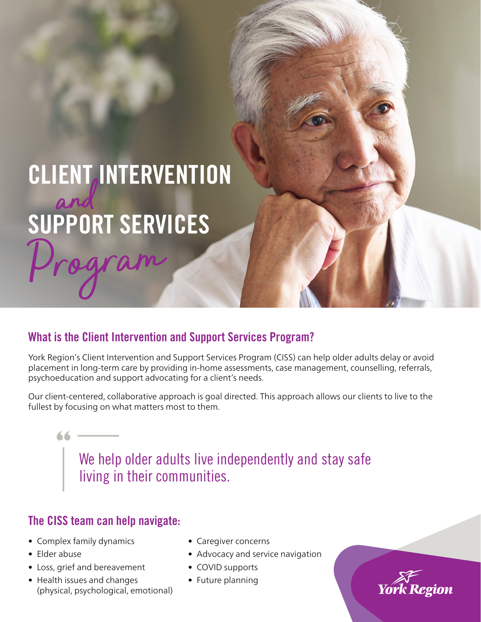# CLIENT, INTERVENTION SUPPORT SERVICES and

## What is the Client Intervention and Support Services Program?

York Region's Client Intervention and Support Services Program (CISS) can help older adults delay or avoid placement in long-term care by providing in-home assessments, case management, counselling, referrals, psychoeducation and support advocating for a client's needs.

Our client-centered, collaborative approach is goal directed. This approach allows our clients to live to the fullest by focusing on what matters most to them.

> We help older adults live independently and stay safe living in their communities.

## The CISS team can help navigate:

- Complex family dynamics
- Elder abuse

66

- Loss, grief and bereavement
- Health issues and changes (physical, psychological, emotional)
- Caregiver concerns
- Advocacy and service navigation
- COVID supports
- Future planning